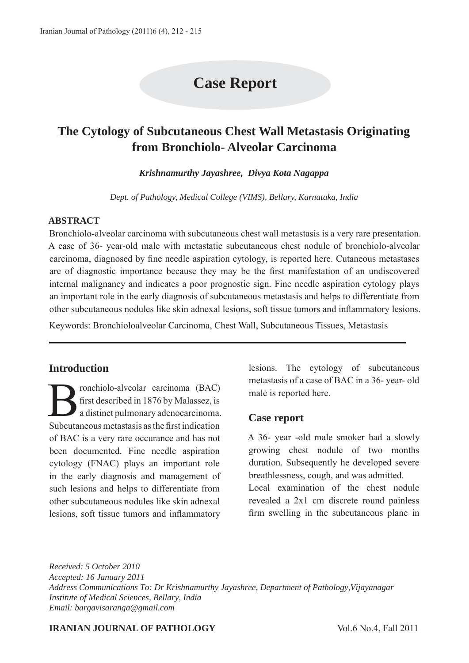# **Case Report**

# **The Cytology of Subcutaneous Chest Wall Metastasis Originating from Bronchiolo- Alveolar Carcinoma**

*Krishnamurthy Jayashree, Divya Kota Nagappa*

*Dept. of Pathology, Medical College (VIMS), Bellary, Karnataka, India*

#### **ABSTRACT**

Bronchiolo-alveolar carcinoma with subcutaneous chest wall metastasis is a very rare presentation. A case of 36- year-old male with metastatic subcutaneous chest nodule of bronchiolo-alveolar carcinoma, diagnosed by fine needle aspiration cytology, is reported here. Cutaneous metastases are of diagnostic importance because they may be the first manifestation of an undiscovered internal malignancy and indicates a poor prognostic sign. Fine needle aspiration cytology plays an important role in the early diagnosis of subcutaneous metastasis and helps to differentiate from other subcutaneous nodules like skin adnexal lesions, soft tissue tumors and inflammatory lesions.

Keywords: Bronchioloalveolar Carcinoma, Chest Wall, Subcutaneous Tissues, Metastasis

#### **Introduction**

Franchiolo-alveolar carcinoma (BAC)<br>first described in 1876 by Malassez, is<br>a distinct pulmonary adenocarcinoma<br>Subsytements materials as the first indication first described in 1876 by Malassez, is a distinct pulmonary adenocarcinoma. Subcutaneous metastasis as the first indication of BAC is a very rare occurance and has not been documented. Fine needle aspiration cytology (FNAC) plays an important role in the early diagnosis and management of such lesions and helps to differentiate from other subcutaneous nodules like skin adnexal lesions, soft tissue tumors and inflammatory

lesions. The cytology of subcutaneous metastasis of a case of BAC in a 36- year- old male is reported here.

#### **Case report**

A 36- year -old male smoker had a slowly growing chest nodule of two months duration. Subsequently he developed severe breathlessness, cough, and was admitted.

Local examination of the chest nodule revealed a 2x1 cm discrete round painless firm swelling in the subcutaneous plane in

*Received: 5 October 2010 Accepted: 16 January 2011 Address Communications To: Dr Krishnamurthy Jayashree, Department of Pathology,Vijayanagar Institute of Medical Sciences, Bellary, India Email: bargavisaranga@gmail.com*

#### **IRANIAN JOURNAL OF PATHOLOGY** Vol.6 No.4, Fall 2011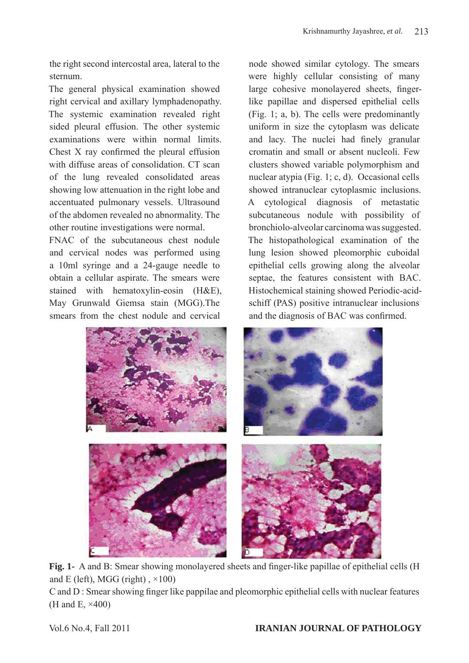the right second intercostal area, lateral to the sternum.

The general physical examination showed right cervical and axillary lymphadenopathy. The systemic examination revealed right sided pleural effusion. The other systemic examinations were within normal limits. Chest X ray confirmed the pleural effusion with diffuse areas of consolidation. CT scan of the lung revealed consolidated areas showing low attenuation in the right lobe and accentuated pulmonary vessels. Ultrasound of the abdomen revealed no abnormality. The other routine investigations were normal.

FNAC of the subcutaneous chest nodule and cervical nodes was performed using a 10ml syringe and a 24-gauge needle to obtain a cellular aspirate. The smears were stained with hematoxylin-eosin (H&E), May Grunwald Giemsa stain (MGG).The smears from the chest nodule and cervical

node showed similar cytology. The smears were highly cellular consisting of many large cohesive monolayered sheets, fingerlike papillae and dispersed epithelial cells (Fig. 1; a, b). The cells were predominantly uniform in size the cytoplasm was delicate and lacy. The nuclei had finely granular cromatin and small or absent nucleoli. Few clusters showed variable polymorphism and nuclear atypia (Fig. 1; c, d). Occasional cells showed intranuclear cytoplasmic inclusions. A cytological diagnosis of metastatic subcutaneous nodule with possibility of bronchiolo-alveolar carcinoma was suggested. The histopathological examination of the lung lesion showed pleomorphic cuboidal epithelial cells growing along the alveolar septae, the features consistent with BAC. Histochemical staining showed Periodic-acidschiff (PAS) positive intranuclear inclusions and the diagnosis of BAC was confirmed.



**Fig. 1-** A and B: Smear showing monolayered sheets and finger-like papillae of epithelial cells (H and E (left), MGG (right),  $\times$ 100)

C and D : Smear showing finger like pappilae and pleomorphic epithelial cells with nuclear features (H and E, ×400)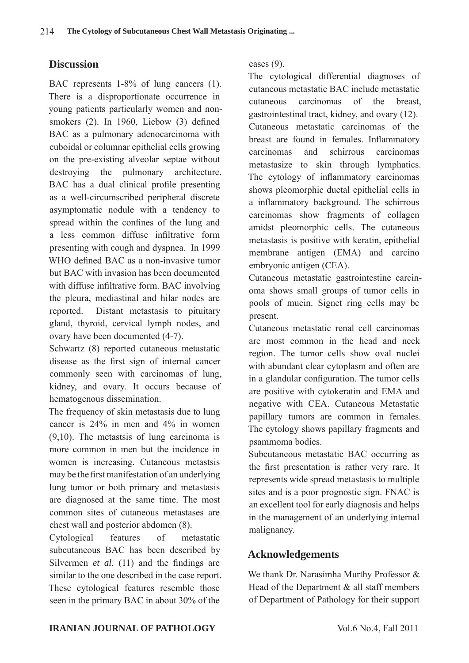### **Discussion**

BAC represents 1-8% of lung cancers (1). There is a disproportionate occurrence in young patients particularly women and nonsmokers (2). In 1960, Liebow (3) defined BAC as a pulmonary adenocarcinoma with cuboidal or columnar epithelial cells growing on the pre-existing alveolar septae without destroying the pulmonary architecture. BAC has a dual clinical profile presenting as a well-circumscribed peripheral discrete asymptomatic nodule with a tendency to spread within the confines of the lung and a less common diffuse infiltrative form presenting with cough and dyspnea. In 1999 WHO defined BAC as a non-invasive tumor but BAC with invasion has been documented with diffuse infiltrative form. BAC involving the pleura, mediastinal and hilar nodes are reported. Distant metastasis to pituitary gland, thyroid, cervical lymph nodes, and ovary have been documented (4-7).

Schwartz (8) reported cutaneous metastatic disease as the first sign of internal cancer commonly seen with carcinomas of lung, kidney, and ovary. It occurs because of hematogenous dissemination.

The frequency of skin metastasis due to lung cancer is 24% in men and 4% in women (9,10). The metastsis of lung carcinoma is more common in men but the incidence in women is increasing. Cutaneous metastsis may be the first manifestation of an underlying lung tumor or both primary and metastasis are diagnosed at the same time. The most common sites of cutaneous metastases are chest wall and posterior abdomen (8).

Cytological features of metastatic subcutaneous BAC has been described by Silvermen *et al.* (11) and the findings are similar to the one described in the case report. These cytological features resemble those seen in the primary BAC in about 30% of the

cases (9).

The cytological differential diagnoses of cutaneous metastatic BAC include metastatic cutaneous carcinomas of the breast, gastrointestinal tract, kidney, and ovary (12). Cutaneous metastatic carcinomas of the breast are found in females. Inflammatory carcinomas and schirrous carcinomas metastasize to skin through lymphatics. The cytology of inflammatory carcinomas shows pleomorphic ductal epithelial cells in a inflammatory background. The schirrous carcinomas show fragments of collagen amidst pleomorphic cells. The cutaneous metastasis is positive with keratin, epithelial membrane antigen (EMA) and carcino embryonic antigen (CEA).

Cutaneous metastatic gastrointestine carcinoma shows small groups of tumor cells in pools of mucin. Signet ring cells may be present.

Cutaneous metastatic renal cell carcinomas are most common in the head and neck region. The tumor cells show oval nuclei with abundant clear cytoplasm and often are in a glandular configuration. The tumor cells are positive with cytokeratin and EMA and negative with CEA. Cutaneous Metastatic papillary tumors are common in females. The cytology shows papillary fragments and psammoma bodies.

Subcutaneous metastatic BAC occurring as the first presentation is rather very rare. It represents wide spread metastasis to multiple sites and is a poor prognostic sign. FNAC is an excellent tool for early diagnosis and helps in the management of an underlying internal malignancy.

# **Acknowledgements**

We thank Dr. Narasimha Murthy Professor & Head of the Department & all staff members of Department of Pathology for their support

#### **IRANIAN JOURNAL OF PATHOLOGY** Vol.6 No.4, Fall 2011